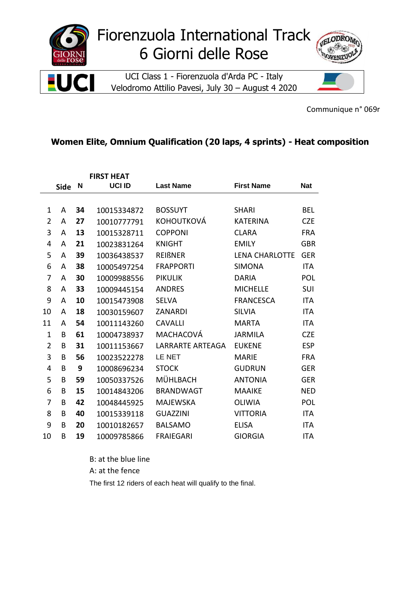

Communique n° 069r

## **Women Elite, Omnium Qualification (20 laps, 4 sprints) - Heat composition**

| <b>FIRST HEAT</b> |             |    |             |                         |                       |            |
|-------------------|-------------|----|-------------|-------------------------|-----------------------|------------|
|                   | <b>Side</b> | N  | UCI ID      | <b>Last Name</b>        | <b>First Name</b>     | <b>Nat</b> |
|                   |             |    |             |                         |                       |            |
| 1                 | A           | 34 | 10015334872 | <b>BOSSUYT</b>          | <b>SHARI</b>          | <b>BEL</b> |
| $\overline{2}$    | A           | 27 | 10010777791 | <b>KOHOUTKOVÁ</b>       | <b>KATERINA</b>       | <b>CZE</b> |
| 3                 | A           | 13 | 10015328711 | <b>COPPONI</b>          | <b>CLARA</b>          | <b>FRA</b> |
| 4                 | A           | 21 | 10023831264 | <b>KNIGHT</b>           | <b>EMILY</b>          | <b>GBR</b> |
| 5                 | A           | 39 | 10036438537 | <b>REIßNER</b>          | <b>LENA CHARLOTTE</b> | <b>GER</b> |
| 6                 | A           | 38 | 10005497254 | <b>FRAPPORTI</b>        | <b>SIMONA</b>         | <b>ITA</b> |
| 7                 | A           | 30 | 10009988556 | <b>PIKULIK</b>          | <b>DARIA</b>          | POL        |
| 8                 | A           | 33 | 10009445154 | <b>ANDRES</b>           | <b>MICHELLE</b>       | SUI        |
| 9                 | A           | 10 | 10015473908 | <b>SELVA</b>            | <b>FRANCESCA</b>      | <b>ITA</b> |
| 10                | A           | 18 | 10030159607 | <b>ZANARDI</b>          | <b>SILVIA</b>         | <b>ITA</b> |
| 11                | A           | 54 | 10011143260 | <b>CAVALLI</b>          | <b>MARTA</b>          | <b>ITA</b> |
| 1                 | B           | 61 | 10004738937 | MACHACOVÁ               | <b>JARMILA</b>        | <b>CZE</b> |
| $\overline{2}$    | B           | 31 | 10011153667 | <b>LARRARTE ARTEAGA</b> | <b>EUKENE</b>         | <b>ESP</b> |
| 3                 | B           | 56 | 10023522278 | LE NET                  | <b>MARIE</b>          | <b>FRA</b> |
| 4                 | B           | 9  | 10008696234 | <b>STOCK</b>            | <b>GUDRUN</b>         | <b>GER</b> |
| 5                 | B           | 59 | 10050337526 | MÜHLBACH                | <b>ANTONIA</b>        | <b>GER</b> |
| 6                 | B           | 15 | 10014843206 | <b>BRANDWAGT</b>        | <b>MAAIKE</b>         | <b>NED</b> |
| 7                 | B           | 42 | 10048445925 | <b>MAJEWSKA</b>         | <b>OLIWIA</b>         | POL        |
| 8                 | B           | 40 | 10015339118 | <b>GUAZZINI</b>         | <b>VITTORIA</b>       | <b>ITA</b> |
| 9                 | B           | 20 | 10010182657 | <b>BALSAMO</b>          | <b>ELISA</b>          | <b>ITA</b> |
| 10                | B           | 19 | 10009785866 | <b>FRAIEGARI</b>        | <b>GIORGIA</b>        | <b>ITA</b> |

B: at the blue line

A: at the fence

The first 12 riders of each heat will qualify to the final.